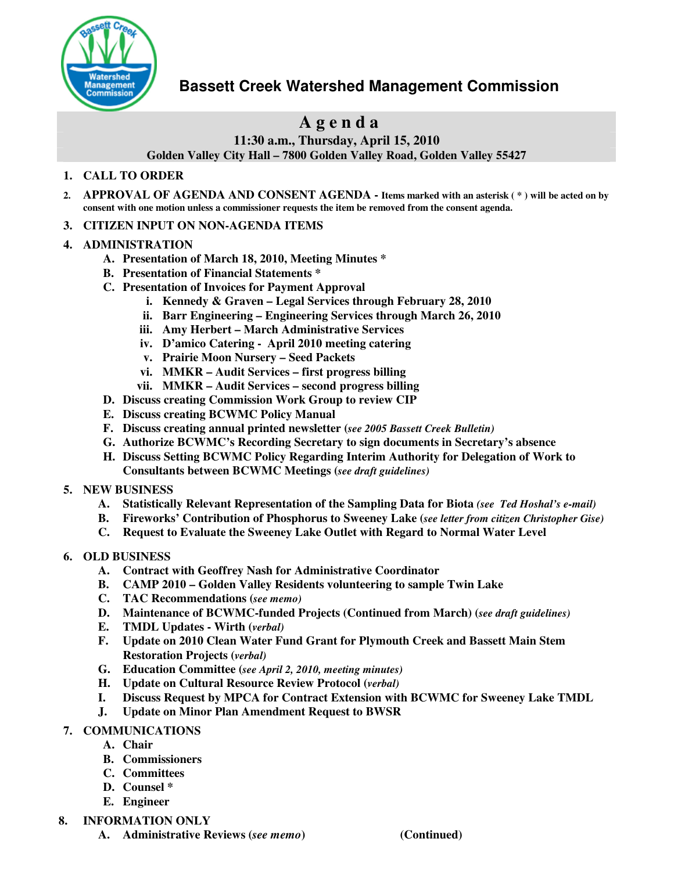

# **Bassett Creek Watershed Management Commission**

# **A g e n d a**

**11:30 a.m., Thursday, April 15, 2010**

**Golden Valley City Hall – 7800 Golden Valley Road, Golden Valley 55427**

## **1. CALL TO ORDER**

- 2. APPROVAL OF AGENDA AND CONSENT AGENDA Items marked with an asterisk (\*) will be acted on by **consent with one motion unless a commissioner requests the item be removed from the consent agenda.**
- **3. CITIZEN INPUT ON NON-AGENDA ITEMS**

#### **4. ADMINISTRATION**

- **A. Presentation of March 18, 2010, Meeting Minutes \***
- **B. Presentation of Financial Statements \***
- **C. Presentation of Invoices for Payment Approval**
	- **i. Kennedy & Graven – Legal Services through February 28, 2010**
	- **ii. Barr Engineering – Engineering Services through March 26, 2010**
	- **iii. Amy Herbert – March Administrative Services**
	- **iv. D'amico Catering - April 2010 meeting catering**
	- **v. Prairie Moon Nursery – Seed Packets**
	- **vi. MMKR – Audit Services – first progress billing**
	- **vii. MMKR – Audit Services – second progress billing**
- **D. Discuss creating Commission Work Group to review CIP**
- **E. Discuss creating BCWMC Policy Manual**
- **F. Discuss creating annual printed newsletter (***see 2005 Bassett Creek Bulletin)*
- **G. Authorize BCWMC's Recording Secretary to sign documents in Secretary's absence**
- **H. Discuss Setting BCWMC Policy Regarding Interim Authority for Delegation of Work to Consultants between BCWMC Meetings (***see draft guidelines)*

### **5. NEW BUSINESS**

- **A. Statistically Relevant Representation of the Sampling Data for Biota** *(see Ted Hoshal's e-mail)*
- **B. Fireworks' Contribution of Phosphorus to Sweeney Lake (***see letter from citizen Christopher Gise)*
- **C. Request to Evaluate the Sweeney Lake Outlet with Regard to Normal Water Level**

### **6. OLD BUSINESS**

- **A. Contract with Geoffrey Nash for Administrative Coordinator**
- **B. CAMP 2010 – Golden Valley Residents volunteering to sample Twin Lake**
- **C. TAC Recommendations (***see memo)*
- **D. Maintenance of BCWMC-funded Projects (Continued from March) (***see draft guidelines)*
- **E. TMDL Updates - Wirth (***verbal)*
- **F. Update on 2010 Clean Water Fund Grant for Plymouth Creek and Bassett Main Stem Restoration Projects (***verbal)*
- **G. Education Committee (***see April 2, 2010, meeting minutes)*
- **H. Update on Cultural Resource Review Protocol (***verbal)*
- **I. Discuss Request by MPCA for Contract Extension with BCWMC for Sweeney Lake TMDL**
- **J. Update on Minor Plan Amendment Request to BWSR**
- **7. COMMUNICATIONS**
	- **A. Chair**
	- **B. Commissioners**
	- **C. Committees**
	- **D. Counsel \***
	- **E. Engineer**
- **8. INFORMATION ONLY**
	- **A. Administrative Reviews (***see memo***) (Continued)**